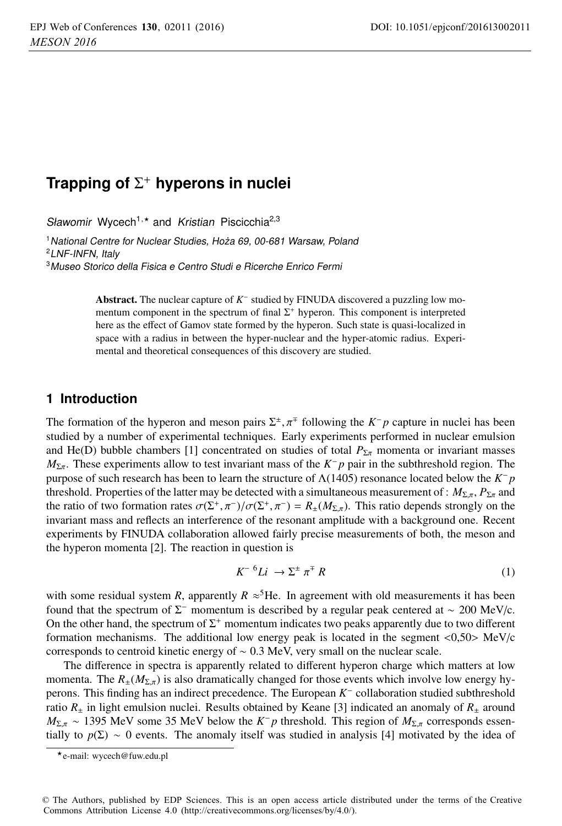# **Trapping of** Σ+ **hyperons in nuclei**

Sławomir Wycech<sup>1,\*</sup> and Kristian Piscicchia<sup>2,3</sup>

<sup>1</sup> National Centre for Nuclear Studies, Hoża 69, 00-681 Warsaw, Poland <sup>2</sup>LNF-INFN, Italy

<sup>3</sup>Museo Storico della Fisica <sup>e</sup> Centro Studi <sup>e</sup> Ricerche Enrico Fermi

Abstract. The nuclear capture of *<sup>K</sup>*<sup>−</sup> studied by FINUDA discovered a puzzling low momentum component in the spectrum of final  $\Sigma^+$  hyperon. This component is interpreted here as the effect of Gamov state formed by the hyperon. Such state is quasi-localized in space with a radius in between the hyper-nuclear and the hyper-atomic radius. Experimental and theoretical consequences of this discovery are studied.

#### **1 Introduction**

The formation of the hyperon and meson pairs  $\Sigma^{\pm}, \pi^{\mp}$  following the *K*−*p* capture in nuclei has been studied by a number of experimental techniques. Early experiments performed in nuclear emulsion and He(D) bubble chambers [1] concentrated on studies of total  $P_{\Sigma \pi}$  momenta or invariant masses *M*<sub>Σπ</sub>. These experiments allow to test invariant mass of the *K*−*p* pair in the subthreshold region. The purpose of such research has been to learn the structure of Λ(1405) resonance located below the *K*<sup>−</sup> *p* threshold. Properties of the latter may be detected with a simultaneous measurement of :  $M_{\Sigma,\pi}$ ,  $P_{\Sigma\pi}$  and the ratio of two formation rates  $\sigma(\Sigma^+, \pi^-)/\sigma(\Sigma^+, \pi^-) = R_{\pm}(M_{\Sigma,\pi})$ . This ratio depends strongly on the invariant mass and reflects an interference of the resonant amplitude with a background one. Recent experiments by FINUDA collaboration allowed fairly precise measurements of both, the meson and the hyperon momenta [2]. The reaction in question is

$$
K^{-6}Li \rightarrow \Sigma^{\pm} \pi^{\mp} R \tag{1}
$$

with some residual system *R*, apparently  $R \approx$ <sup>5</sup>He. In agreement with old measurements it has been found that the spectrum of  $\Sigma^-$  momentum is described by a regular peak centered at ~ 200 MeV/c. On the other hand, the spectrum of  $\Sigma^+$  momentum indicates two peaks apparently due to two different formation mechanisms. The additional low energy peak is located in the segment <0,50> MeV/c corresponds to centroid kinetic energy of ∼ 0.3 MeV, very small on the nuclear scale.

The difference in spectra is apparently related to different hyperon charge which matters at low momenta. The  $R_{\pm}(M_{\Sigma,\pi})$  is also dramatically changed for those events which involve low energy hyperons. This finding has an indirect precedence. The European *K*<sup>−</sup> collaboration studied subthreshold ratio  $R_{+}$  in light emulsion nuclei. Results obtained by Keane [3] indicated an anomaly of  $R_{+}$  around  $M_{\Sigma,\pi} \sim 1395$  MeV some 35 MeV below the  $K^- p$  threshold. This region of  $M_{\Sigma,\pi}$  corresponds essentially to  $p(\Sigma) \sim 0$  events. The anomaly itself was studied in analysis [4] motivated by the idea of

<sup>-</sup>e-mail: wycech@fuw.edu.pl

<sup>©</sup> The Authors, published by EDP Sciences. This is an open access article distributed under the terms of the Creative Commons Attribution License 4.0 (http://creativecommons.org/licenses/by/4.0/).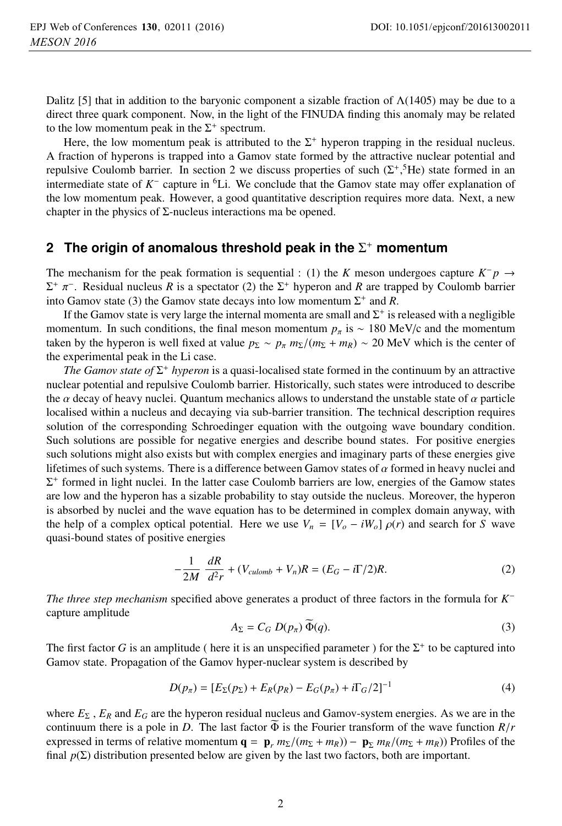Dalitz [5] that in addition to the baryonic component a sizable fraction of  $\Lambda(1405)$  may be due to a direct three quark component. Now, in the light of the FINUDA finding this anomaly may be related to the low momentum peak in the  $\Sigma^+$  spectrum.

Here, the low momentum peak is attributed to the  $\Sigma^+$  hyperon trapping in the residual nucleus. A fraction of hyperons is trapped into a Gamov state formed by the attractive nuclear potential and repulsive Coulomb barrier. In section 2 we discuss properties of such  $(\Sigma^+,^5{\text{He}})$  state formed in an intermediate state of *K*<sup>−</sup> capture in 6Li. We conclude that the Gamov state may offer explanation of the low momentum peak. However, a good quantitative description requires more data. Next, a new chapter in the physics of  $\Sigma$ -nucleus interactions ma be opened.

#### **2 The origin of anomalous threshold peak in the** Σ<sup>+</sup> **momentum**

The mechanism for the peak formation is sequential : (1) the *K* meson undergoes capture  $K^- p \rightarrow$  $\Sigma^+$   $\pi^-$ . Residual nucleus *R* is a spectator (2) the  $\Sigma^+$  hyperon and *R* are trapped by Coulomb barrier into Gamov state (3) the Gamov state decays into low momentum  $\Sigma^+$  and *R*.

If the Gamov state is very large the internal momenta are small and  $\Sigma^+$  is released with a negligible momentum. In such conditions, the final meson momentum  $p_\pi$  is ~ 180 MeV/c and the momentum taken by the hyperon is well fixed at value  $p_{\Sigma} \sim p_{\pi} m_{\Sigma}/(m_{\Sigma} + m_R) \sim 20$  MeV which is the center of the experimental peak in the Li case.

*The Gamov state of*  $\Sigma^+$  *hyperon* is a quasi-localised state formed in the continuum by an attractive nuclear potential and repulsive Coulomb barrier. Historically, such states were introduced to describe the  $\alpha$  decay of heavy nuclei. Quantum mechanics allows to understand the unstable state of  $\alpha$  particle localised within a nucleus and decaying via sub-barrier transition. The technical description requires solution of the corresponding Schroedinger equation with the outgoing wave boundary condition. Such solutions are possible for negative energies and describe bound states. For positive energies such solutions might also exists but with complex energies and imaginary parts of these energies give lifetimes of such systems. There is a difference between Gamov states of  $\alpha$  formed in heavy nuclei and  $\Sigma^+$  formed in light nuclei. In the latter case Coulomb barriers are low, energies of the Gamow states are low and the hyperon has a sizable probability to stay outside the nucleus. Moreover, the hyperon is absorbed by nuclei and the wave equation has to be determined in complex domain anyway, with the help of a complex optical potential. Here we use  $V_n = [V_o - iW_o] \rho(r)$  and search for *S* wave quasi-bound states of positive energies

$$
-\frac{1}{2M}\frac{dR}{d^2r} + (V_{\text{culomb}} + V_n)R = (E_G - i\Gamma/2)R.
$$
 (2)

*The three step mechanism* specified above generates a product of three factors in the formula for *K*<sup>−</sup> capture amplitude

$$
A_{\Sigma} = C_G D(p_{\pi}) \widetilde{\Phi}(q). \tag{3}
$$

The first factor *G* is an amplitude ( here it is an unspecified parameter ) for the  $\Sigma^+$  to be captured into Gamov state. Propagation of the Gamov hyper-nuclear system is described by

$$
D(p_{\pi}) = [E_{\Sigma}(p_{\Sigma}) + E_{R}(p_{R}) - E_{G}(p_{\pi}) + i\Gamma_{G}/2]^{-1}
$$
\n(4)

where *E*<sup>Σ</sup> , *ER* and *EG* are the hyperon residual nucleus and Gamov-system energies. As we are in the continuum there is a pole in *D*. The last factor  $\widetilde{\Phi}$  is the Fourier transform of the wave function *R*/*r* expressed in terms of relative momentum  $\mathbf{q} = \mathbf{p}_r m_\Sigma/(m_\Sigma + m_R) - \mathbf{p}_\Sigma m_R/(m_\Sigma + m_R)$ ) Profiles of the final  $p(\Sigma)$  distribution presented below are given by the last two factors, both are important.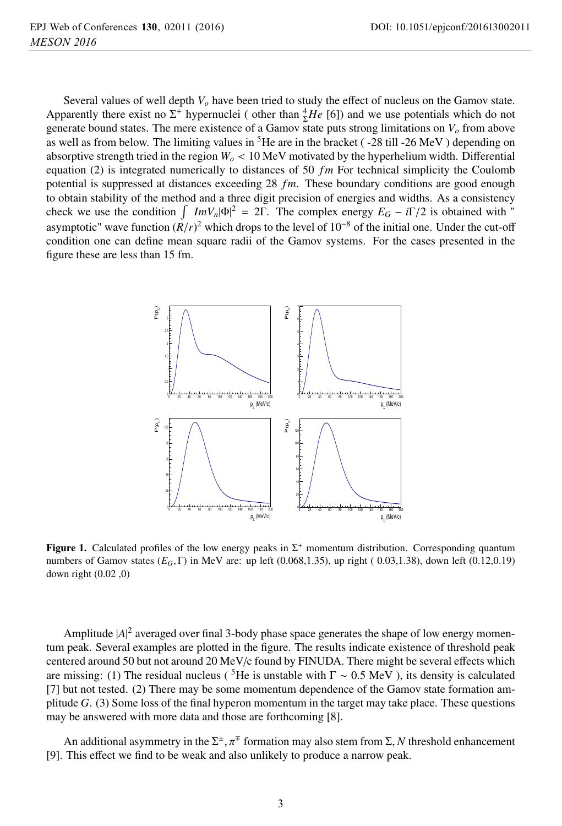Several values of well depth *Vo* have been tried to study the effect of nucleus on the Gamov state. Apparently there exist no  $\Sigma^+$  hypernuclei (other than  ${}^4_\Sigma He$  [6]) and we use potentials which do not generate bound states. The mere existence of a Gamov state puts strong limitations on  $V<sub>o</sub>$  from above as well as from below. The limiting values in  ${}^{5}$ He are in the bracket ( $-28$  till  $-26$  MeV) depending on absorptive strength tried in the region *Wo* < 10 MeV motivated by the hyperhelium width. Differential equation (2) is integrated numerically to distances of 50 *fm* For technical simplicity the Coulomb potential is suppressed at distances exceeding 28 *fm*. These boundary conditions are good enough to obtain stability of the method and a three digit precision of energies and widths. As a consistency check we use the condition  $\int ImV_n |\Phi|^2 = 2\Gamma$ . The complex energy  $E_G - i\Gamma/2$  is obtained with " asymptotic" wave function  $(R/r)^2$  which drops to the level of 10<sup>-8</sup> of the initial one. Under the cut-off condition one can define mean square radii of the Gamov systems. For the cases presented in the figure these are less than 15 fm.



**Figure 1.** Calculated profiles of the low energy peaks in  $\Sigma^+$  momentum distribution. Corresponding quantum numbers of Gamov states (*EG*, Γ) in MeV are: up left (0.068,1.35), up right ( 0.03,1.38), down left (0.12,0.19) down right (0.02 ,0)

Amplitude  $|A|^2$  averaged over final 3-body phase space generates the shape of low energy momentum peak. Several examples are plotted in the figure. The results indicate existence of threshold peak centered around 50 but not around 20 MeV/c found by FINUDA. There might be several effects which are missing: (1) The residual nucleus (<sup>5</sup>He is unstable with  $\Gamma \sim 0.5 \text{ MeV}$ ), its density is calculated [7] but not tested. (2) There may be some momentum dependence of the Gamov state formation amplitude *G*. (3) Some loss of the final hyperon momentum in the target may take place. These questions may be answered with more data and those are forthcoming [8].

An additional asymmetry in the  $\Sigma^{\pm}$ ,  $\pi^{\mp}$  formation may also stem from  $\Sigma$ , *N* threshold enhancement [9]. This effect we find to be weak and also unlikely to produce a narrow peak.